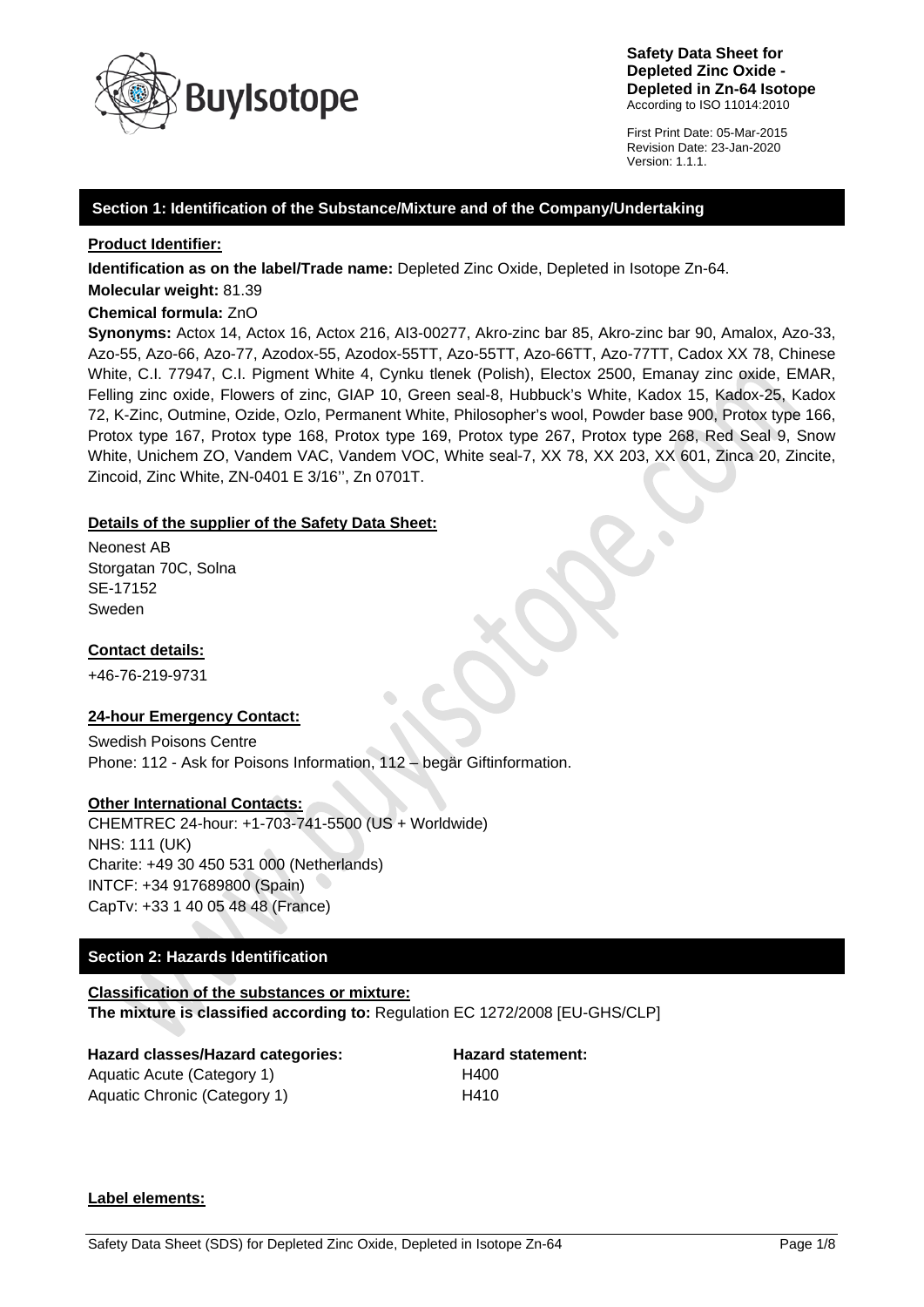

First Print Date: 05-Mar-2015 Revision Date: 23-Jan-2020 Version: 1.1.1.

# **Section 1: Identification of the Substance/Mixture and of the Company/Undertaking**

**Product Identifier:**

**Identification as on the label/Trade name:** Depleted Zinc Oxide, Depleted in Isotope Zn-64.

**Molecular weight:** 81.39

# **Chemical formula:** ZnO

**Synonyms:** Actox 14, Actox 16, Actox 216, AI3-00277, Akro-zinc bar 85, Akro-zinc bar 90, Amalox, Azo-33, Azo-55, Azo-66, Azo-77, Azodox-55, Azodox-55TT, Azo-55TT, Azo-66TT, Azo-77TT, Cadox XX 78, Chinese White, C.I. 77947, C.I. Pigment White 4, Cynku tlenek (Polish), Electox 2500, Emanay zinc oxide, EMAR, Felling zinc oxide, Flowers of zinc, GIAP 10, Green seal-8, Hubbuck's White, Kadox 15, Kadox-25, Kadox 72, K-Zinc, Outmine, Ozide, Ozlo, Permanent White, Philosopher's wool, Powder base 900, Protox type 166, Protox type 167, Protox type 168, Protox type 169, Protox type 267, Protox type 268, Red Seal 9, Snow White, Unichem ZO, Vandem VAC, Vandem VOC, White seal-7, XX 78, XX 203, XX 601, Zinca 20, Zincite, Zincoid, Zinc White, ZN-0401 E 3/16'', Zn 0701T.

# **Details of the supplier of the Safety Data Sheet:**

Neonest AB Storgatan 70C, Solna SE-17152 Sweden

# **Contact details:**

+46-76-219-9731

# **24-hour Emergency Contact:**

Swedish Poisons Centre Phone: 112 - Ask for Poisons Information, 112 – begär Giftinformation.

# **Other International Contacts:**

CHEMTREC 24-hour: +1-703-741-5500 (US + Worldwide) NHS: 111 (UK) Charite: +49 30 450 531 000 (Netherlands) INTCF: +34 917689800 (Spain) CapTv: +33 1 40 05 48 48 (France)

# **Section 2: Hazards Identification**

#### **Classification of the substances or mixture: The mixture is classified according to:** Regulation EC 1272/2008 [EU-GHS/CLP]

# **Hazard classes/Hazard categories: Hazard statement:** Aquatic Acute (Category 1) H400

Aquatic Chronic (Category 1) H410

# **Label elements:**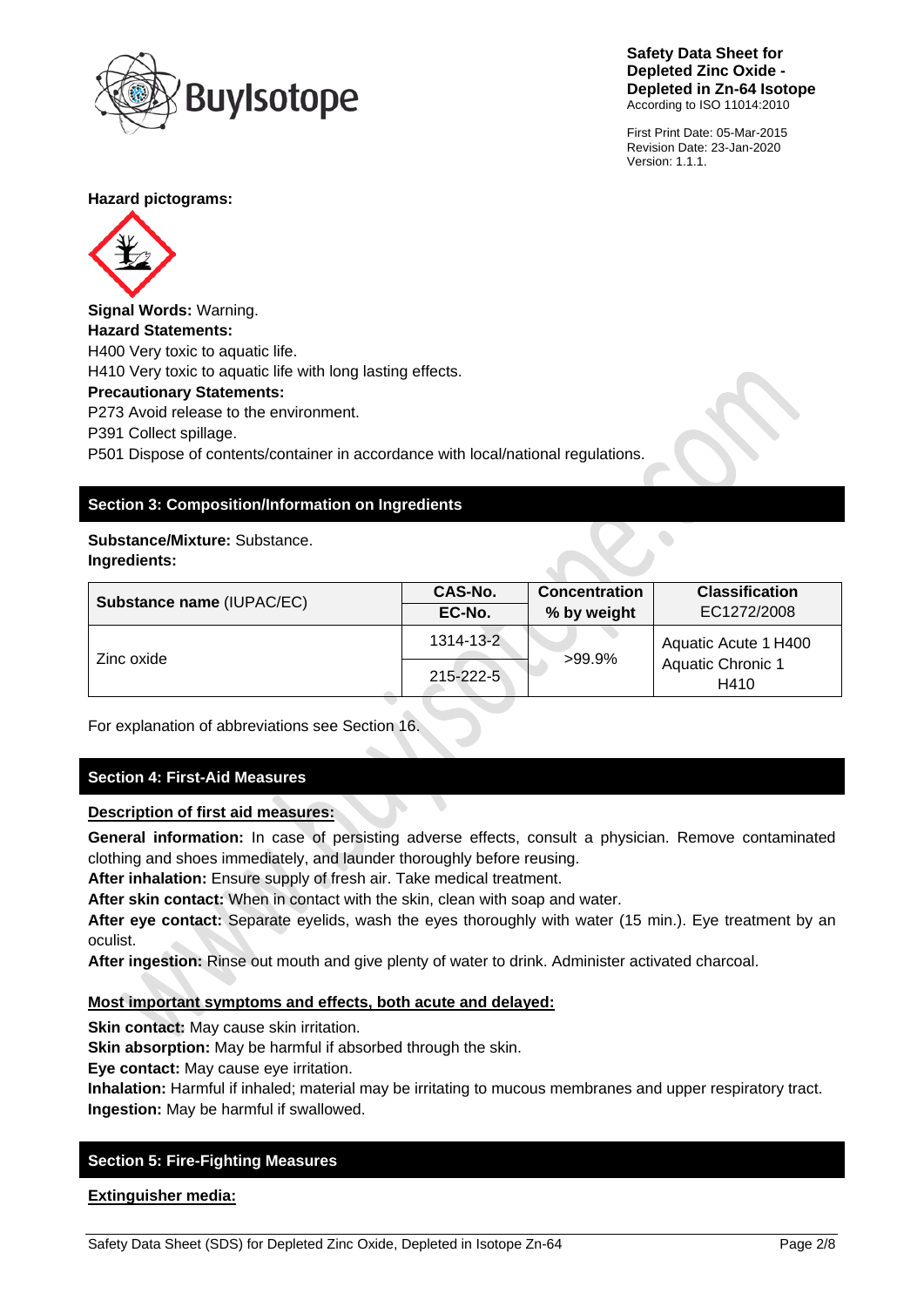

First Print Date: 05-Mar-2015 Revision Date: 23-Jan-2020 Version: 1.1.1.

 $\bullet$ 

### **Hazard pictograms:**



**Signal Words:** Warning. **Hazard Statements:** H400 Very toxic to aquatic life. H410 Very toxic to aquatic life with long lasting effects. **Precautionary Statements:** P273 Avoid release to the environment. P391 Collect spillage. P501 Dispose of contents/container in accordance with local/national regulations.

# **Section 3: Composition/Information on Ingredients**

# **Substance/Mixture:** Substance.

# **Ingredients:**

| <b>Substance name (IUPAC/EC)</b> | CAS-No.   | <b>Concentration</b> | <b>Classification</b>                                    |
|----------------------------------|-----------|----------------------|----------------------------------------------------------|
|                                  | EC-No.    | % by weight          | EC1272/2008                                              |
| Zinc oxide                       | 1314-13-2 | $>99.9\%$            | Aquatic Acute 1 H400<br><b>Aquatic Chronic 1</b><br>H410 |
|                                  | 215-222-5 |                      |                                                          |

For explanation of abbreviations see Section 16.

# **Section 4: First-Aid Measures**

# **Description of first aid measures:**

**General information:** In case of persisting adverse effects, consult a physician. Remove contaminated clothing and shoes immediately, and launder thoroughly before reusing.

**After inhalation:** Ensure supply of fresh air. Take medical treatment.

**After skin contact:** When in contact with the skin, clean with soap and water.

**After eye contact:** Separate eyelids, wash the eyes thoroughly with water (15 min.). Eye treatment by an oculist.

**After ingestion:** Rinse out mouth and give plenty of water to drink. Administer activated charcoal.

# **Most important symptoms and effects, both acute and delayed:**

**Skin contact:** May cause skin irritation.

**Skin absorption:** May be harmful if absorbed through the skin.

**Eye contact:** May cause eye irritation.

**Inhalation:** Harmful if inhaled; material may be irritating to mucous membranes and upper respiratory tract. **Ingestion:** May be harmful if swallowed.

# **Section 5: Fire-Fighting Measures**

**Extinguisher media:**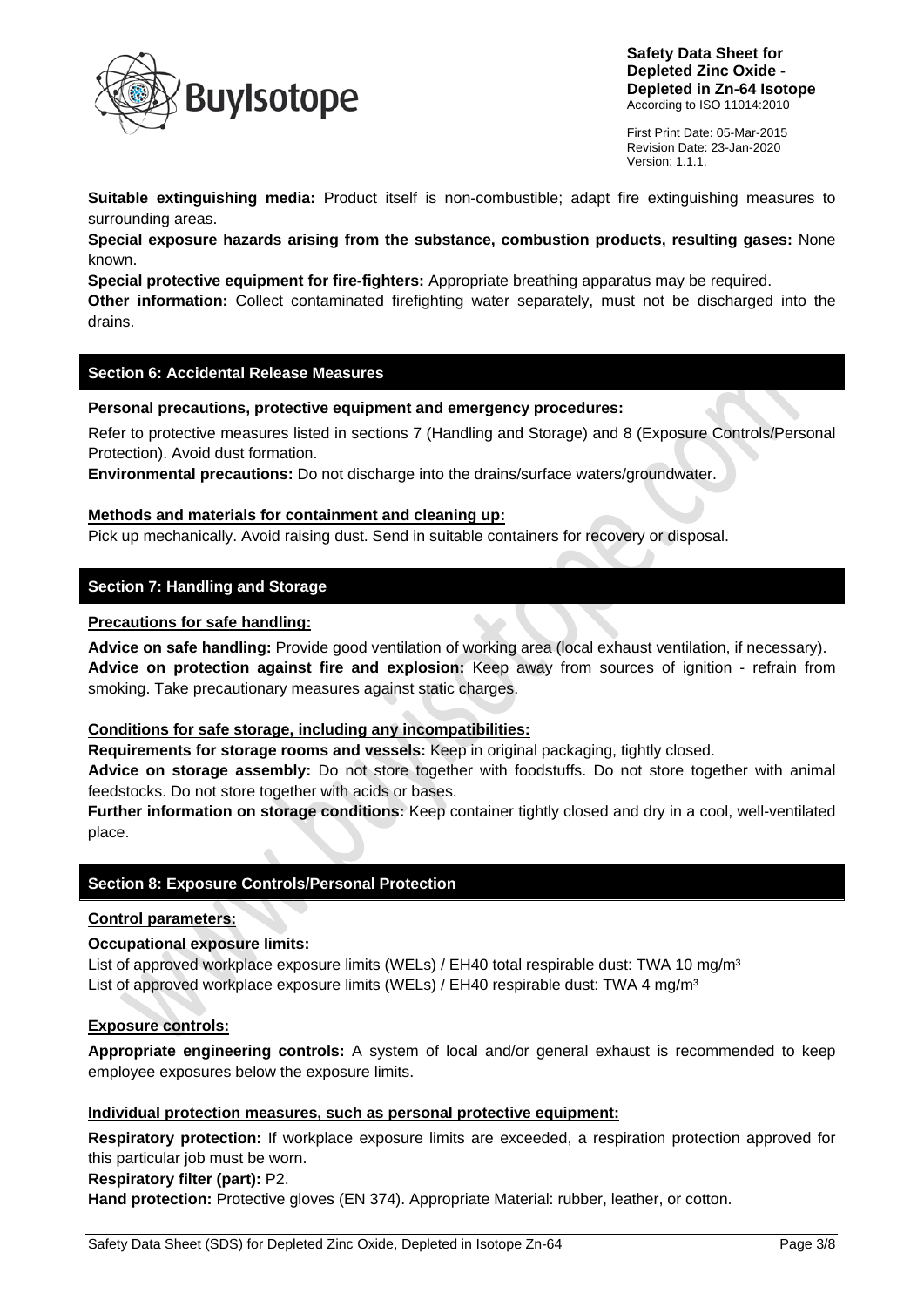

First Print Date: 05-Mar-2015 Revision Date: 23-Jan-2020 Version: 1.1.1.

**Suitable extinguishing media:** Product itself is non-combustible; adapt fire extinguishing measures to surrounding areas.

**Special exposure hazards arising from the substance, combustion products, resulting gases:** None known.

**Special protective equipment for fire-fighters:** Appropriate breathing apparatus may be required. **Other information:** Collect contaminated firefighting water separately, must not be discharged into the drains.

# **Section 6: Accidental Release Measures**

#### **Personal precautions, protective equipment and emergency procedures:**

Refer to protective measures listed in sections 7 (Handling and Storage) and 8 (Exposure Controls/Personal Protection). Avoid dust formation.

**Environmental precautions:** Do not discharge into the drains/surface waters/groundwater.

#### **Methods and materials for containment and cleaning up:**

Pick up mechanically. Avoid raising dust. Send in suitable containers for recovery or disposal.

# **Section 7: Handling and Storage**

#### **Precautions for safe handling:**

**Advice on safe handling:** Provide good ventilation of working area (local exhaust ventilation, if necessary). **Advice on protection against fire and explosion:** Keep away from sources of ignition - refrain from smoking. Take precautionary measures against static charges.

# **Conditions for safe storage, including any incompatibilities:**

**Requirements for storage rooms and vessels:** Keep in original packaging, tightly closed.

**Advice on storage assembly:** Do not store together with foodstuffs. Do not store together with animal feedstocks. Do not store together with acids or bases.

**Further information on storage conditions:** Keep container tightly closed and dry in a cool, well-ventilated place.

# **Section 8: Exposure Controls/Personal Protection**

#### **Control parameters:**

#### **Occupational exposure limits:**

List of approved workplace exposure limits (WELs) / EH40 total respirable dust: TWA 10 mg/m<sup>3</sup> List of approved workplace exposure limits (WELs) / EH40 respirable dust: TWA 4 mg/m<sup>3</sup>

#### **Exposure controls:**

**Appropriate engineering controls:** A system of local and/or general exhaust is recommended to keep employee exposures below the exposure limits.

### **Individual protection measures, such as personal protective equipment:**

**Respiratory protection:** If workplace exposure limits are exceeded, a respiration protection approved for this particular job must be worn.

#### **Respiratory filter (part):** P2.

**Hand protection:** Protective gloves (EN 374). Appropriate Material: rubber, leather, or cotton.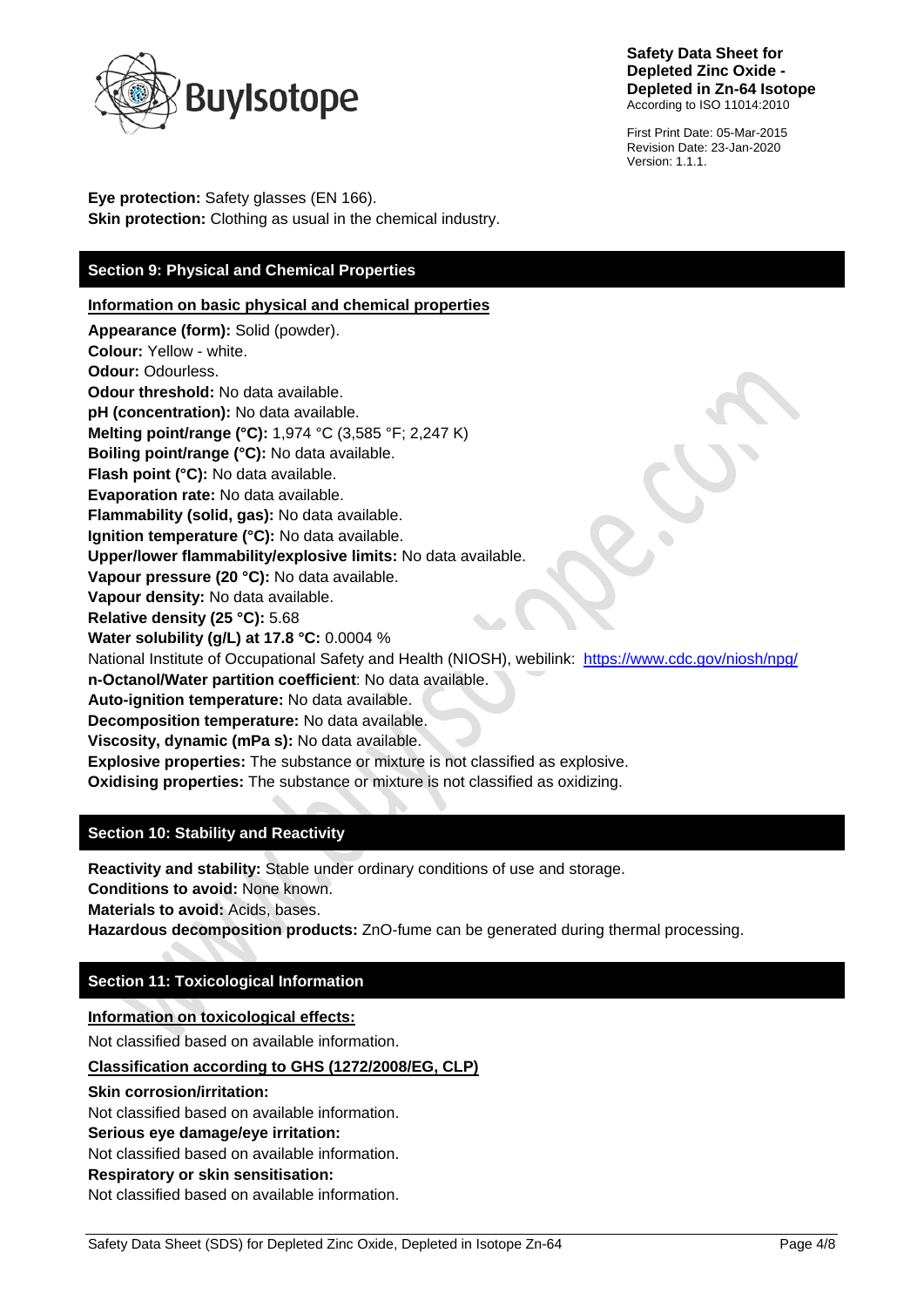

First Print Date: 05-Mar-2015 Revision Date: 23-Jan-2020 Version: 1.1.1.

**Eye protection:** Safety glasses (EN 166). **Skin protection:** Clothing as usual in the chemical industry.

# **Section 9: Physical and Chemical Properties**

**Information on basic physical and chemical properties**

**Appearance (form):** Solid (powder). **Colour:** Yellow - white. **Odour:** Odourless. **Odour threshold:** No data available. **pH (concentration):** No data available. **Melting point/range (°C):** 1,974 °C (3,585 °F; 2,247 K) **Boiling point/range (°C):** No data available. **Flash point (°C):** No data available. **Evaporation rate:** No data available. **Flammability (solid, gas):** No data available. **Ignition temperature (°C):** No data available. **Upper/lower flammability/explosive limits:** No data available. **Vapour pressure (20 °C):** No data available. **Vapour density:** No data available. **Relative density (25 °C):** 5.68 **Water solubility (g/L) at 17.8 °C:** 0.0004 % National Institute of Occupational Safety and Health (NIOSH), webilink: <https://www.cdc.gov/niosh/npg/> **n-Octanol/Water partition coefficient**: No data available. **Auto-ignition temperature:** No data available. **Decomposition temperature:** No data available. **Viscosity, dynamic (mPa s):** No data available. **Explosive properties:** The substance or mixture is not classified as explosive. **Oxidising properties:** The substance or mixture is not classified as oxidizing.

# **Section 10: Stability and Reactivity**

**Reactivity and stability:** Stable under ordinary conditions of use and storage. **Conditions to avoid:** None known. **Materials to avoid:** Acids, bases. **Hazardous decomposition products:** ZnO-fume can be generated during thermal processing.

# **Section 11: Toxicological Information**

# **Information on toxicological effects:**

Not classified based on available information.

# **Classification according to GHS (1272/2008/EG, CLP)**

#### **Skin corrosion/irritation:**

Not classified based on available information.

**Serious eye damage/eye irritation:**

Not classified based on available information.

**Respiratory or skin sensitisation:**

Not classified based on available information.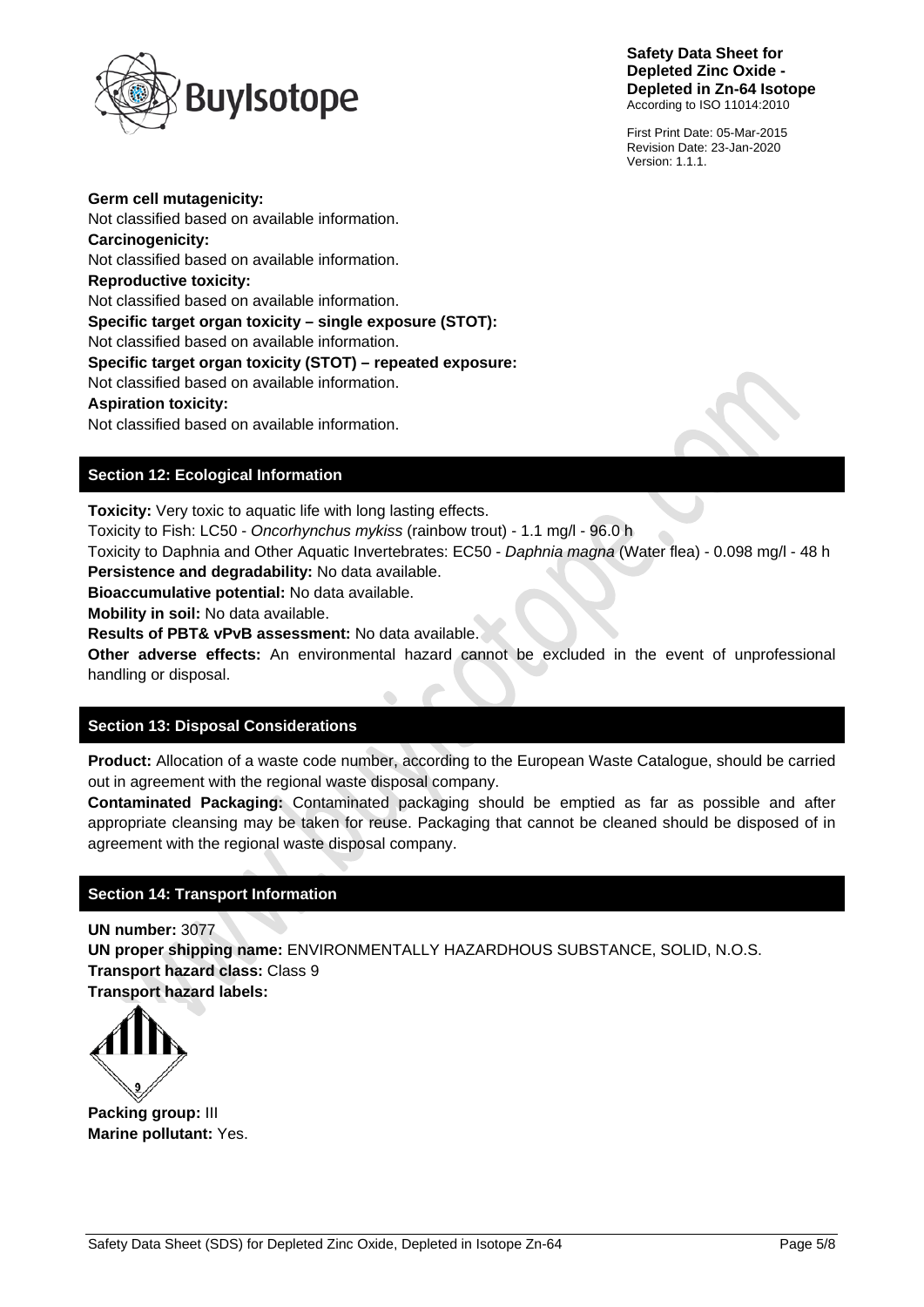

First Print Date: 05-Mar-2015 Revision Date: 23-Jan-2020 Version: 1.1.1.

**Germ cell mutagenicity:** Not classified based on available information. **Carcinogenicity:** Not classified based on available information. **Reproductive toxicity:** Not classified based on available information. **Specific target organ toxicity – single exposure (STOT):** Not classified based on available information. **Specific target organ toxicity (STOT) – repeated exposure:** Not classified based on available information. **Aspiration toxicity:** Not classified based on available information.

# **Section 12: Ecological Information**

**Toxicity:** Very toxic to aquatic life with long lasting effects.

Toxicity to Fish: LC50 - *Oncorhynchus mykiss* (rainbow trout) - 1.1 mg/l - 96.0 h

Toxicity to Daphnia and Other Aquatic Invertebrates: EC50 - *Daphnia magna* (Water flea) - 0.098 mg/l - 48 h **Persistence and degradability:** No data available.

**Bioaccumulative potential:** No data available.

**Mobility in soil:** No data available.

**Results of PBT& vPvB assessment:** No data available.

**Other adverse effects:** An environmental hazard cannot be excluded in the event of unprofessional handling or disposal.

# **Section 13: Disposal Considerations**

**Product:** Allocation of a waste code number, according to the European Waste Catalogue, should be carried out in agreement with the regional waste disposal company.

**Contaminated Packaging:** Contaminated packaging should be emptied as far as possible and after appropriate cleansing may be taken for reuse. Packaging that cannot be cleaned should be disposed of in agreement with the regional waste disposal company.

# **Section 14: Transport Information**

**UN number:** 3077 **UN proper shipping name:** ENVIRONMENTALLY HAZARDHOUS SUBSTANCE, SOLID, N.O.S. **Transport hazard class:** Class 9 **Transport hazard labels:**



**Packing group:** III **Marine pollutant:** Yes.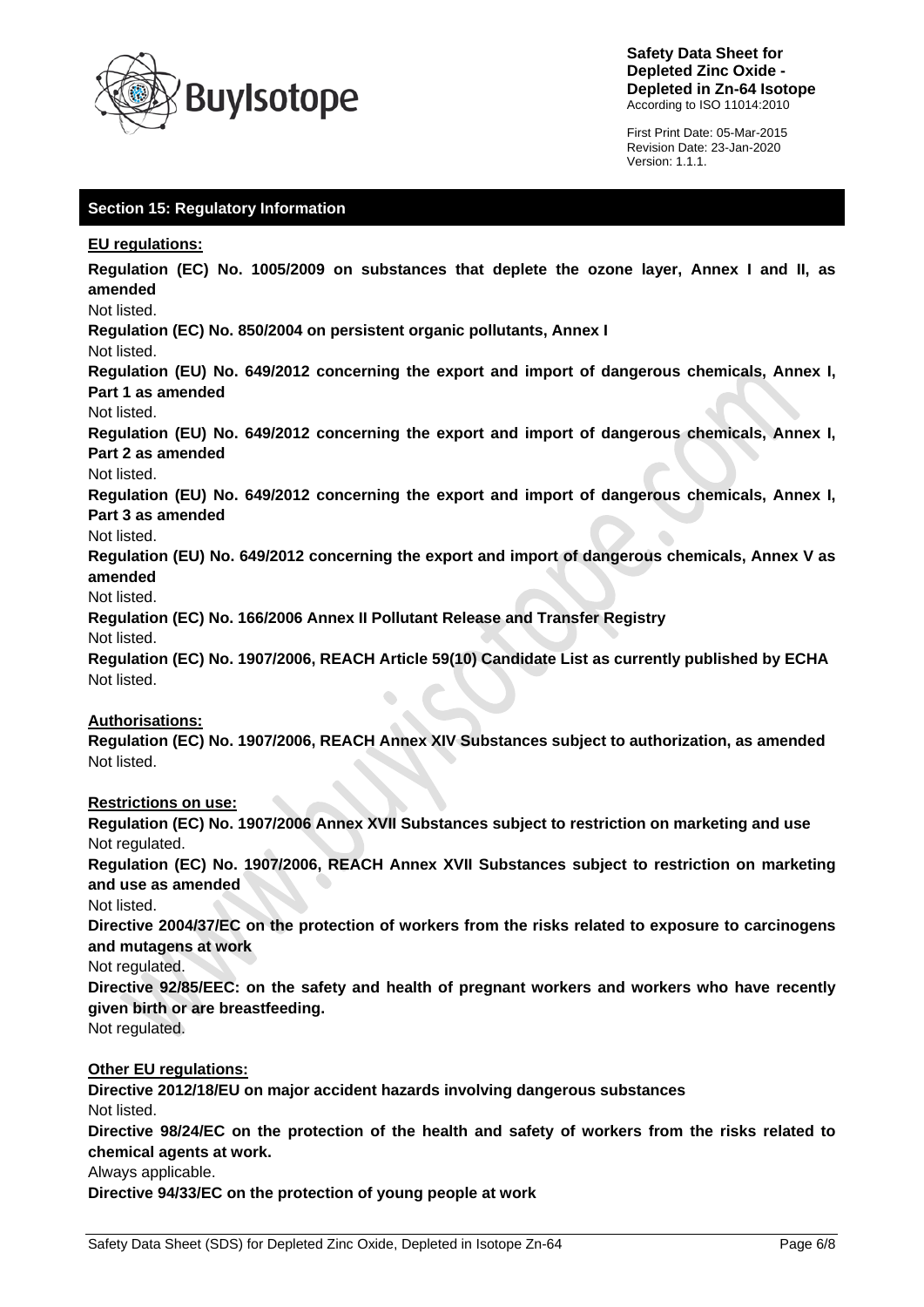

First Print Date: 05-Mar-2015 Revision Date: 23-Jan-2020 Version: 1.1.1.

# **Section 15: Regulatory Information**

#### **EU regulations:**

**Regulation (EC) No. 1005/2009 on substances that deplete the ozone layer, Annex I and II, as amended**

#### Not listed.

**Regulation (EC) No. 850/2004 on persistent organic pollutants, Annex I**

#### Not listed.

**Regulation (EU) No. 649/2012 concerning the export and import of dangerous chemicals, Annex I, Part 1 as amended**

#### Not listed.

**Regulation (EU) No. 649/2012 concerning the export and import of dangerous chemicals, Annex I, Part 2 as amended**

#### Not listed.

**Regulation (EU) No. 649/2012 concerning the export and import of dangerous chemicals, Annex I, Part 3 as amended**

# Not listed.

**Regulation (EU) No. 649/2012 concerning the export and import of dangerous chemicals, Annex V as amended**

#### Not listed.

**Regulation (EC) No. 166/2006 Annex II Pollutant Release and Transfer Registry**

Not listed.

**Regulation (EC) No. 1907/2006, REACH Article 59(10) Candidate List as currently published by ECHA** Not listed.

# **Authorisations:**

**Regulation (EC) No. 1907/2006, REACH Annex XIV Substances subject to authorization, as amended** Not listed.

# **Restrictions on use:**

**Regulation (EC) No. 1907/2006 Annex XVII Substances subject to restriction on marketing and use** Not regulated.

**Regulation (EC) No. 1907/2006, REACH Annex XVII Substances subject to restriction on marketing and use as amended**

Not listed.

**Directive 2004/37/EC on the protection of workers from the risks related to exposure to carcinogens and mutagens at work**

Not regulated.

**Directive 92/85/EEC: on the safety and health of pregnant workers and workers who have recently given birth or are breastfeeding.**

Not regulated.

# **Other EU regulations:**

**Directive 2012/18/EU on major accident hazards involving dangerous substances** Not listed.

**Directive 98/24/EC on the protection of the health and safety of workers from the risks related to chemical agents at work.**

Always applicable.

**Directive 94/33/EC on the protection of young people at work**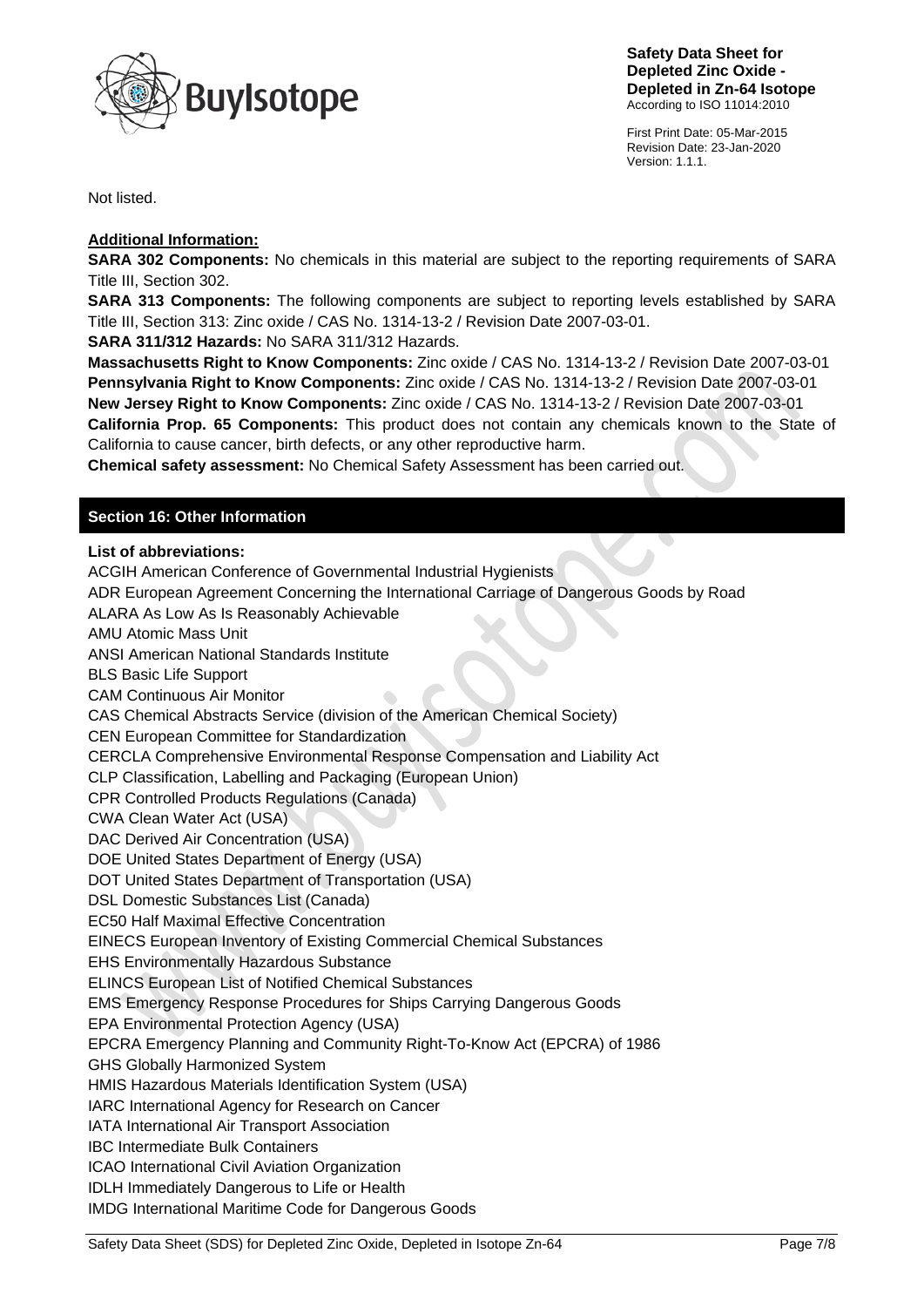

First Print Date: 05-Mar-2015 Revision Date: 23-Jan-2020 Version: 1.1.1.

Not listed.

### **Additional Information:**

**SARA 302 Components:** No chemicals in this material are subject to the reporting requirements of SARA Title III, Section 302.

**SARA 313 Components:** The following components are subject to reporting levels established by SARA Title III, Section 313: Zinc oxide / CAS No. 1314-13-2 / Revision Date 2007-03-01.

**SARA 311/312 Hazards:** No SARA 311/312 Hazards.

**Massachusetts Right to Know Components:** Zinc oxide / CAS No. 1314-13-2 / Revision Date 2007-03-01 **Pennsylvania Right to Know Components:** Zinc oxide / CAS No. 1314-13-2 / Revision Date 2007-03-01 **New Jersey Right to Know Components:** Zinc oxide / CAS No. 1314-13-2 / Revision Date 2007-03-01 **California Prop. 65 Components:** This product does not contain any chemicals known to the State of California to cause cancer, birth defects, or any other reproductive harm.

**Chemical safety assessment:** No Chemical Safety Assessment has been carried out.

# **Section 16: Other Information**

#### **List of abbreviations:**

ACGIH American Conference of Governmental Industrial Hygienists

ADR European Agreement Concerning the International Carriage of Dangerous Goods by Road

ALARA As Low As Is Reasonably Achievable

AMU Atomic Mass Unit

ANSI American National Standards Institute

BLS Basic Life Support

CAM Continuous Air Monitor

CAS Chemical Abstracts Service (division of the American Chemical Society)

CEN European Committee for Standardization

CERCLA Comprehensive Environmental Response Compensation and Liability Act

CLP Classification, Labelling and Packaging (European Union)

CPR Controlled Products Regulations (Canada)

CWA Clean Water Act (USA)

DAC Derived Air Concentration (USA)

DOE United States Department of Energy (USA)

DOT United States Department of Transportation (USA)

DSL Domestic Substances List (Canada)

EC50 Half Maximal Effective Concentration

EINECS European Inventory of Existing Commercial Chemical Substances

EHS Environmentally Hazardous Substance

ELINCS European List of Notified Chemical Substances

EMS Emergency Response Procedures for Ships Carrying Dangerous Goods

EPA Environmental Protection Agency (USA)

EPCRA Emergency Planning and Community Right-To-Know Act (EPCRA) of 1986

GHS Globally Harmonized System

HMIS Hazardous Materials Identification System (USA)

IARC International Agency for Research on Cancer

IATA International Air Transport Association

IBC Intermediate Bulk Containers

ICAO International Civil Aviation Organization

IDLH Immediately Dangerous to Life or Health

IMDG International Maritime Code for Dangerous Goods